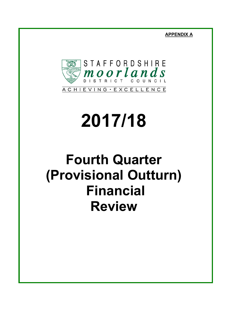**APPENDIX A**



# **2017/18**

## **Fourth Quarter (Provisional Outturn) Financial Review**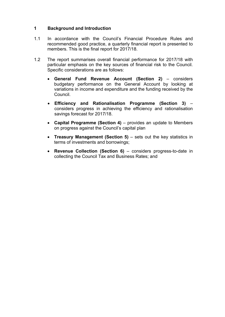#### **1 Background and Introduction**

- 1.1 In accordance with the Council's Financial Procedure Rules and recommended good practice, a quarterly financial report is presented to members. This is the final report for 2017/18.
- 1.2 The report summarises overall financial performance for 2017/18 with particular emphasis on the key sources of financial risk to the Council. Specific considerations are as follows:
	- **General Fund Revenue Account (Section 2)** considers budgetary performance on the General Account by looking at variations in income and expenditure and the funding received by the Council.
	- **Efficiency and Rationalisation Programme (Section 3)** considers progress in achieving the efficiency and rationalisation savings forecast for 2017/18.
	- **Capital Programme (Section 4)** provides an update to Members on progress against the Council's capital plan
	- **Treasury Management (Section 5)** sets out the key statistics in terms of investments and borrowings;
	- **Revenue Collection (Section 6)** considers progress-to-date in collecting the Council Tax and Business Rates; and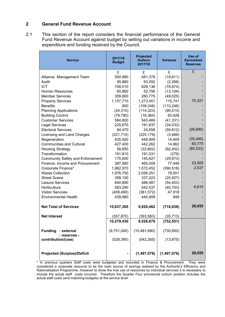#### **2 General Fund Revenue Account**

2.1 This section of the report considers the financial performance of the General Fund Revenue Account against budget by setting out variations in income and expenditure and funding received by the Council.

| <b>Service</b>                          | 2017/18<br><b>Budget</b> | <b>Projected</b><br><b>Outturn</b><br>2017/18 | <b>Variance</b> | Use of<br><b>Earmarked</b><br><b>Reserves</b> |
|-----------------------------------------|--------------------------|-----------------------------------------------|-----------------|-----------------------------------------------|
|                                         | £                        | £                                             | £               | £                                             |
| Alliance Management Team                | 500,990                  | 481,379                                       | (19,611)        |                                               |
| Audit                                   | 95,860                   | 93,592                                        | (2,268)         |                                               |
| <b>ICT</b>                              | 708,010                  | 629,136                                       | (78, 874)       |                                               |
| Human Resources                         | 65,860                   | 52,756                                        | (13, 104)       |                                               |
| <b>Member Services</b>                  | 309,800                  | 260,775                                       | (49, 025)       |                                               |
| <b>Property Services</b>                | 1,157,710                | 1,273,451                                     | 115,741         | 75,321                                        |
| <b>Benefits</b>                         | 900                      | (109, 348)                                    | (110, 248)      |                                               |
| <b>Planning Applications</b>            | (24, 310)                | (114, 323)                                    | (90, 013)       |                                               |
| <b>Building Control</b>                 | (79, 790)                | (16, 364)                                     | 63,426          |                                               |
| <b>Customer Services</b>                | 584,800                  | 543,469                                       | (41, 331)       |                                               |
| <b>Legal Services</b>                   | 225,670                  | 191,637                                       | (34,033)        |                                               |
| <b>Electoral Services</b>               | 84,470                   | 24,658                                        | (59, 812)       | (26, 680)                                     |
| Licensing and Land Charges              | (221, 710)               | (225, 179)                                    | (3, 469)        |                                               |
| Regeneration                            | 435,500                  | 449,909                                       | 14,409          | (35, 485)                                     |
| <b>Communities and Cultural</b>         | 427,400                  | 442,262                                       | 14,862          | 60,775                                        |
| <b>Housing Strategy</b>                 | 58,650                   | (33, 802)                                     | (92, 452)       | (80, 533)                                     |
| Transformation                          | 191,810                  | 191,531                                       | (279)           |                                               |
| <b>Community Safety and Enforcement</b> | 175,600                  | 145,627                                       | (29, 973)       |                                               |
| Finance, Income and Procurement         | 387,560                  | 465,009                                       | 77,449          | 23,505                                        |
| Corporate Finance*                      | 1,962,970                | 1,572,452                                     | (390, 518)      | 2,537                                         |
| <b>Waste Collection</b>                 | 1,976,750                | 2,056,251                                     | 79,501          |                                               |
| <b>Street Scene</b>                     | 358,150                  | 337,223                                       | (20, 927)       |                                               |
| Leisure Services                        | 640,890                  | 586,487                                       | (54, 403)       |                                               |
| Horticulture                            | 583,290                  | 542,537                                       | (40, 753)       | 6,615                                         |
| <b>Visitor Services</b>                 | (409, 490)               | (361, 572)                                    | 47,918          |                                               |
| <b>Environmental Health</b>             | 439,960                  | 440,909                                       | 949             |                                               |
| <b>Net Total of Services</b>            | 10,637,300               | 9,920,462                                     | (716, 838)      | 26,055                                        |
| <b>Net Interest</b>                     | (357, 870)               | (393, 583)                                    | (35, 713)       |                                               |
|                                         | 10,279,430               | 9,526,879                                     | (752, 551)      |                                               |
| Funding : external<br>: reserves -      | (9,751,040)              | (10, 481, 690)                                | (730, 650)      |                                               |
| contribution/(use)                      | (528, 390)               | (542, 265)                                    | (13, 875)       |                                               |
| <b>Projected (Surplus)/Deficit</b>      |                          | (1,497,076)                                   | (1,497,076)     | 26,055                                        |

<sup>\*</sup> In previous quarters Staff costs were budgeted and recorded in Finance & Procurement. They were considered a corporate resource to be the main source of savings realised by the Authority's Efficiency and Rationalisation Programme, However to show the true use of resources by individual services it is necessary to include the actual staff costs incurred. Therefore the Quarter Four provisional outturn position includes the actual staff costs (and matching budgets) at the service level.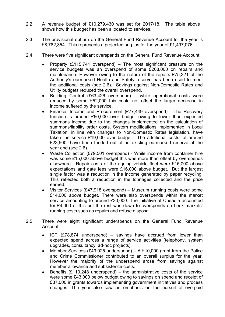- 2.2 A revenue budget of £10,279,430 was set for 2017/18. The table above shows how this budget has been allocated to services.
- 2.3 The provisional outturn on the General Fund Revenue Account for the year is £8,782,354. This represents a projected surplus for the year of £1,497,076.
- 2.4 There were five significant overspends on the General Fund Revenue Account:
	- Property (£115,741 overspend) The most significant pressure on the service budgets was an overspend of some £208,000 on repairs and maintenance. However owing to the nature of the repairs £75,321 of the Authority's earmarked Health and Safety reserve has been used to meet the additional costs (see 2.6). Savings against Non-Domestic Rates and Utility budgets reduced the overall overspend.
	- Building Control (£63,426 overspend) while operational costs were reduced by some £52,000 this could not offset the larger decrease in income suffered by the service.
	- Finance, Income and Procurement (£77,449 overspend) The Recovery function is around £60,000 over budget owing to lower than expected summons income due to the changes implemented on the calculation of summons/liability order costs. System modifications implemented in Local Taxation, in line with changes to Non-Domestic Rates legislation, have taken the service £19,000 over budget. The additional costs, of around £23,500, have been funded out of an existing earmarked reserve at the year end (see 2.6).
	- Waste Collection (£79,501 overspend) While income from container hire was some £15,000 above budget this was more than offset by overspends elsewhere. Repair costs of the ageing vehicle fleet were £15,000 above expectations and gate fees were £16,000 above budget. But the largest single factor was a reduction in the income generated by paper recycling. This reflected both a reduction in the tonnages collected and the price earned.
	- Visitor Services (£47,918 overspend) Museum running costs were some £14,000 above budget. There were also overspends within the market service amounting to around £30,000. The initiative at Cheadle accounted for £4,000 of this but the rest was down to overspends on Leek markets' running costs such as repairs and refuse disposal.
- 2.5 There were eight significant underspends on the General Fund Revenue Account:
	- ICT (£78,874 underspend) savings have accrued from lower than expected spend across a range of service activities (telephony, system upgrades, consultancy, ad-hoc projects).
	- Member Services (£49,025 underspend) A £10,000 grant from the Police and Crime Commissioner contributed to an overall surplus for the year. However the majority of the underspend arose from savings against member allowance and subsistence costs.
	- Benefits  $(E110,248 \text{ underspend}) -$  the administrative costs of the service were some £43,000 below budget owing to savings on spend and receipt of £37,000 in grants towards implementing government initiatives and process changes. The year also saw an emphasis on the pursuit of overpaid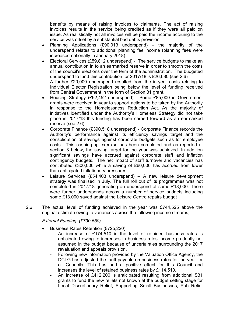benefits by means of raising invoices to claimants. The act of raising invoices results in the service being credited as if they were all paid on issue. As realistically not all invoices will be paid the income accruing to the service was offset by a substantial bad debts provision.

- Planning Applications (£90,013 underspend) the majority of the underspend relates to additional planning fee income (planning fees were increased nationally in January 2018)
- Electoral Services (£59,812 underspend) The service budgets to make an annual contribution in to an earmarked reserve in order to smooth the costs of the council's elections over the term of the administration. The budgeted underspend to fund this contribution for 2017/18 is £26,680 (see 2.6) A further £20,000 underspend resulted from the in-year costs relating to Individual Elector Registration being below the level of funding received from Central Government in the form of Section 31 grant.
- Housing Strategy (£92,452 underspend) Some £85,000 in Government grants were received in year to support actions to be taken by the Authority in response to the Homelessness Reduction Act. As the majority of initiatives identified under the Authority's Homeless Strategy did not take place in 2017/18 this funding has been carried forward as an earmarked reserve (see 2.6).
- Corporate Finance (£390,518 underspend) Corporate Finance records the Authority's performance against its efficiency savings target and the consolidation of savings against corporate budgets such as for employee costs. This cashing-up exercise has been completed and as reported at section 3 below, the saving target for the year was achieved. In addition significant savings have accrued against corporate staff and inflation contingency budgets. The net impact of staff turnover and vacancies has contributed £300,000 while a saving of £60,000 has accrued from lower than anticipated inflationary pressures.
- Leisure Services (£54,403 underspend) A new leisure development strategy was finalised in July. The full roll out of its programmes was not completed in 2017/18 generating an underspend of some £18,000. There were further underspends across a number of service budgets including some £13,000 saved against the Leisure Centre repairs budget
- 2.6 The actual level of funding achieved in the year was £744,525 above the original estimate owing to variances across the following income streams;

*External Funding: (£730,650)*

- Business Rates Retention (£725,220):
	- An increase of £174,510 in the level of retained business rates is anticipated owing to increases in business rates income prudently not assumed in the budget because of uncertainties surrounding the 2017 revaluation and appeals provision.
	- Following new information provided by the Valuation Office Agency, the DCLG has adjusted the tariff payable on business rates for the year for all Councils. This has had a positive effect for this Council and increases the level of retained business rates by £114,510.
	- An increase of £412,200 is anticipated resulting from additional S31 grants to fund the new reliefs not known at the budget setting stage for Local Discretionary Relief, Supporting Small Businesses, Pub Relief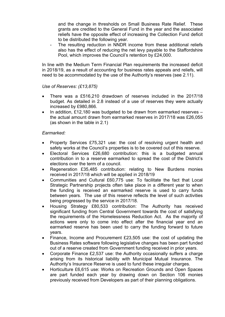and the change in thresholds on Small Business Rate Relief. These grants are credited to the General Fund in the year and the associated reliefs have the opposite effect of increasing the Collection Fund deficit to be distributed the following year.

The resulting reduction in NNDR income from these additional reliefs also has the effect of reducing the net levy payable to the Staffordshire Pool, which improves the Council's retention by £24,000.

In line with the Medium Term Financial Plan requirements the increased deficit in 2018/19, as a result of accounting for business rates appeals and reliefs, will need to be accommodated by the use of the Authority's reserves (see 2.11).

#### *Use of Reserves: (£13,875)*

- There was a £516,210 drawdown of reserves included in the 2017/18 budget. As detailed in 2.8 instead of a use of reserves they were actually increased by £980,866.
- In addition, £12,180 was budgeted to be drawn from earmarked reserves the actual amount drawn from earmarked reserves in 2017/18 was £26,055 (as shown in the table in 2.1)

#### *Earmarked:*

- Property Services £75,321 use: the cost of resolving urgent health and safety works at the Council's properties is to be covered out of this reserve.
- Electoral Services £26,680 contribution: this is a budgeted annual contribution in to a reserve earmarked to spread the cost of the District's elections over the term of a council.
- Regeneration £35,485 contribution: relating to New Burdens monies received in 2017/18 which will be applied in 2018/19
- Communities and Cultural £60,775 use: To facilitate the fact that Local Strategic Partnership projects often take place in a different year to when the funding is received an earmarked reserve is used to carry funds between years. The use of this reserve reflects the level of such activities being progressed by the service in 2017/18.
- Housing Strategy £80,533 contribution: The Authority has received significant funding from Central Government towards the cost of satisfying the requirements of the Homelessness Reduction Act. As the majority of actions were only to come into effect after the financial year end an earmarked reserve has been used to carry the funding forward to future years.
- Finance, Income and Procurement £23,505 use: the cost of updating the Business Rates software following legislative changes has been part funded out of a reserve created from Government funding received in prior years.
- Corporate Finance £2,537 use: the Authority occasionally suffers a charge arising from its historical liability with Municipal Mutual Insurance. The Authority's Insurance Reserve is used to fund these irregular charges.
- Horticulture £6,615 use: Works on Recreation Grounds and Open Spaces are part funded each year by drawing down on Section 106 monies previously received from Developers as part of their planning obligations.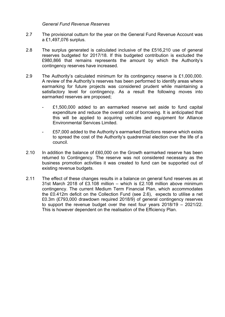#### *General Fund Revenue Reserves*

- 2.7 The provisional outturn for the year on the General Fund Revenue Account was a £1,497,076 surplus.
- 2.8 The surplus generated is calculated inclusive of the £516,210 use of general reserves budgeted for 2017/18. If this budgeted contribution is excluded the £980,866 that remains represents the amount by which the Authority's contingency reserves have increased.
- 2.9 The Authority's calculated minimum for its contingency reserve is £1,000,000. A review of the Authority's reserves has been performed to identify areas where earmarking for future projects was considered prudent while maintaining a satisfactory level for contingency. As a result the following moves into earmarked reserves are proposed;
	- £1,500,000 added to an earmarked reserve set aside to fund capital expenditure and reduce the overall cost of borrowing. It is anticipated that this will be applied to acquiring vehicles and equipment for Alliance Environmental Services Limited.
	- £57,000 added to the Authority's earmarked Elections reserve which exists to spread the cost of the Authority's quadrennial election over the life of a council.
- 2.10 In addition the balance of £60,000 on the Growth earmarked reserve has been returned to Contingency. The reserve was not considered necessary as the business promotion activities it was created to fund can be supported out of existing revenue budgets.
- 2.11 The effect of these changes results in a balance on general fund reserves as at 31st March 2018 of £3.108 million – which is £2.108 million above minimum contingency. The current Medium Term Financial Plan, which accommodates the £0.412m deficit on the Collection Fund (see 2.6), expects to utilise a net £0.3m (£793,000 drawdown required 2018/9) of general contingency reserves to support the revenue budget over the next four years 2018/19 – 2021/22. This is however dependent on the realisation of the Efficiency Plan.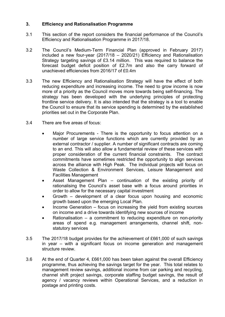#### **3. Efficiency and Rationalisation Programme**

- 3.1 This section of the report considers the financial performance of the Council's Efficiency and Rationalisation Programme in 2017/18.
- 3.2 The Council's Medium-Term Financial Plan (approved in February 2017) included a new four-year (2017/18 – 2020/21) Efficiency and Rationalisation Strategy targeting savings of £3.14 million. This was required to balance the forecast budget deficit position of £2.7m and also the carry forward of unachieved efficiencies from 2016/17 of £0.4m
- 3.3 The new Efficiency and Rationalisation Strategy will have the effect of both reducing expenditure and increasing income. The need to grow income is now more of a priority as the Council moves more towards being self-financing. The strategy has been developed with the underlying principles of protecting frontline service delivery. It is also intended that the strategy is a tool to enable the Council to ensure that its service spending is determined by the established priorities set out in the Corporate Plan.
- 3.4 There are five areas of focus:
	- Major Procurements There is the opportunity to focus attention on a number of large service functions which are currently provided by an external contractor / supplier. A number of significant contracts are coming to an end. This will also allow a fundamental review of these services with proper consideration of the current financial constraints. The contract commitments have sometimes restricted the opportunity to align services across the alliance with High Peak. The individual projects will focus on Waste Collection & Environment Services, Leisure Management and Facilities Management
	- Asset Management Plan continuation of the existing priority of rationalising the Council's asset base with a focus around priorities in order to allow for the necessary capital investment
	- Growth development of a clear focus upon housing and economic growth based upon the emerging Local Plan.
	- Income Generation focus on increasing the yield from existing sources on income and a drive towards identifying new sources of income
	- Rationalisation a commitment to reducing expenditure on non-priority areas of spend e.g. management arrangements, channel shift, nonstatutory services
- 3.5 The 2017/18 budget provides for the achievement of £661,000 of such savings in year – with a significant focus on income generation and management structure review.
- 3.6 At the end of Quarter 4, £661,000 has been taken against the overall Efficiency programme, thus achieving the savings target for the year. This total relates to management review savings, additional income from car parking and recycling, channel shift project savings, corporate staffing budget savings, the result of agency / vacancy reviews within Operational Services, and a reduction in postage and printing costs.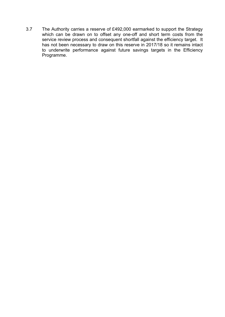3.7 The Authority carries a reserve of £492,000 earmarked to support the Strategy which can be drawn on to offset any one-off and short term costs from the service review process and consequent shortfall against the efficiency target. It has not been necessary to draw on this reserve in 2017/18 so it remains intact to underwrite performance against future savings targets in the Efficiency Programme.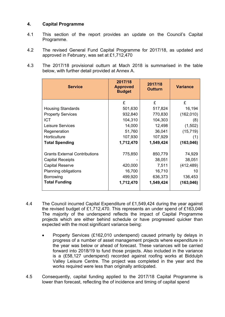#### **4. Capital Programme**

- 4.1 This section of the report provides an update on the Council's Capital Programme.
- 4.2 The revised General Fund Capital Programme for 2017/18, as updated and approved in February, was set at £1,712,470
- 4.3 The 2017/18 provisional outturn at Mach 2018 is summarised in the table below, with further detail provided at Annex A.

| <b>Service</b>                       | 2017/18<br><b>Approved</b><br><b>Budget</b> | 2017/18<br><b>Outturn</b> | <b>Variance</b> |
|--------------------------------------|---------------------------------------------|---------------------------|-----------------|
|                                      | £                                           | £                         | £               |
| <b>Housing Standards</b>             | 501,630                                     | 517,824                   | 16,194          |
| <b>Property Services</b>             | 932,840                                     | 770,830                   | (162, 010)      |
| <b>ICT</b>                           | 104,310                                     | 104,303                   | (8)             |
| Leisure Services                     | 14,000                                      | 12,498                    | (1,502)         |
| Regeneration                         | 51,760                                      | 36,041                    | (15, 719)       |
| Horticulture                         | 107,930                                     | 107,929                   | (1)             |
| <b>Total Spending</b>                | 1,712,470                                   | 1,549,424                 | (163, 046)      |
| <b>Grants External Contributions</b> | 775,850                                     | 850,779                   | 74,929          |
| <b>Capital Receipts</b>              |                                             | 38,051                    | 38,051          |
| <b>Capital Reserve</b>               | 420,000                                     | 7,511                     | (412, 489)      |
| Planning obligations                 | 16,700                                      | 16,710                    | 10              |
| Borrowing                            | 499,920                                     | 636,373                   | 136,453         |
| <b>Total Funding</b>                 | 1,712,470                                   | 1,549,424                 | (163, 046)      |

- 4.4 The Council incurred Capital Expenditure of £1,549,424 during the year against the revised budget of £1,712,470. This represents an under spend of £163,046 The majority of the underspend reflects the impact of Capital Programme projects which are either behind schedule or have progressed quicker than expected with the most significant variance being:
	- Property Services (£162,010 underspend) caused primarily by delays in progress of a number of asset management projects where expenditure in the year was below or ahead of forecast. These variances will be carried forward into 2018/19 to fund those projects. Also included in the variance is a (£58,127 underspend) recorded against roofing works at Biddulph Valley Leisure Centre. The project was completed in the year and the works required were less than originally anticipated.
- 4.5 Consequently, capital funding applied to the 2017/18 Capital Programme is lower than forecast, reflecting the of incidence and timing of capital spend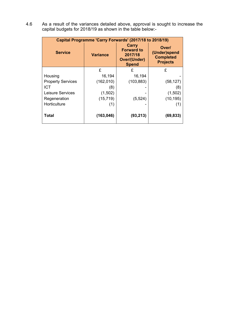4.6 As a result of the variances detailed above, approval is sought to increase the capital budgets for 2018/19 as shown in the table below:-

| Capital Programme 'Carry Forwards' (2017/18 to 2018/19) |                 |                                                                              |                                                              |  |  |
|---------------------------------------------------------|-----------------|------------------------------------------------------------------------------|--------------------------------------------------------------|--|--|
| <b>Service</b>                                          | <b>Variance</b> | Carry<br><b>Forward to</b><br>2017/18<br><b>Over/(Under)</b><br><b>Spend</b> | Over/<br>(Under)spend<br><b>Completed</b><br><b>Projects</b> |  |  |
|                                                         | £               | £                                                                            | £                                                            |  |  |
| Housing                                                 | 16,194          | 16,194                                                                       |                                                              |  |  |
| <b>Property Services</b>                                | (162, 010)      | (103, 883)                                                                   | (58, 127)                                                    |  |  |
| <b>ICT</b>                                              | (8)             |                                                                              | (8)                                                          |  |  |
| Leisure Services                                        | (1,502)         |                                                                              | (1,502)                                                      |  |  |
| Regeneration                                            | (15, 719)       | (5, 524)                                                                     | (10, 195)                                                    |  |  |
| Horticulture                                            | (1)             |                                                                              | (1)                                                          |  |  |
| Total                                                   | (163, 046)      | (93, 213)                                                                    | (69, 833)                                                    |  |  |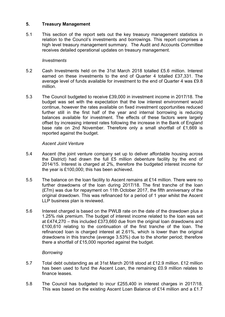#### **5. Treasury Management**

5.1 This section of the report sets out the key treasury management statistics in relation to the Council's investments and borrowings. This report comprises a high level treasury management summary. The Audit and Accounts Committee receives detailed operational updates on treasury management.

#### *Investments*

- 5.2 Cash Investments held on the 31st March 2018 totalled £5.6 million. Interest earned on these investments to the end of Quarter 4 totalled £37,331. The average level of funds available for investment to the end of Quarter 4 was £9.8 million.
- 5.3 The Council budgeted to receive £39,000 in investment income in 2017/18. The budget was set with the expectation that the low interest environment would continue, however the rates available on fixed investment opportunities reduced further still in the first half of the year and internal borrowing is reducing balances available for investment. The effects of these factors were largely offset by increasing interest rates following the increase in the Bank of England base rate on 2nd November. Therefore only a small shortfall of £1,669 is reported against the budget.

#### *Ascent Joint Venture*

- 5.4 Ascent (the joint venture company set up to deliver affordable housing across the District) had drawn the full £5 million debenture facility by the end of 2014/15. Interest is charged at 2%, therefore the budgeted interest income for the year is £100,000; this has been achieved.
- 5.5 The balance on the loan facility to Ascent remains at £14 million. There were no further drawdowns of the loan during 2017/18. The first tranche of the loan (£7m) was due for repayment on 11th October 2017, the fifth anniversary of the original drawdown. This was refinanced for a period of 1 year whilst the Ascent LLP business plan is reviewed.
- 5.6 Interest charged is based on the PWLB rate on the date of the drawdown plus a 1.25% risk premium. The budget of interest income related to the loan was set at £474,270 – this included £373,660 due from the original loan drawdowns and £100,610 relating to the continuation of the first tranche of the loan. The refinanced loan is charged interest at 2.61%, which is lower than the original drawdowns in this tranche (average 3.53%) due to the shorter period; therefore there a shortfall of £15,000 reported against the budget.

#### *Borrowing*

- 5.7 Total debt outstanding as at 31st March 2018 stood at £12.9 million. £12 million has been used to fund the Ascent Loan, the remaining £0.9 million relates to finance leases.
- 5.8 The Council has budgeted to incur £255,400 in interest charges in 2017/18. This was based on the existing Ascent Loan Balance of £14 million and a £1.7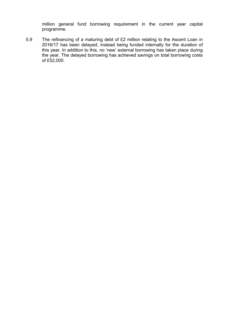million general fund borrowing requirement in the current year capital programme.

5.9 The refinancing of a maturing debt of £2 million relating to the Ascent Loan in 2016/17 has been delayed, instead being funded internally for the duration of this year. In addition to this, no 'new' external borrowing has taken place during the year. The delayed borrowing has achieved savings on total borrowing costs of £52,000.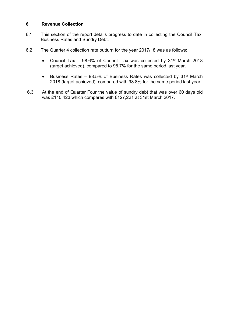#### **6 Revenue Collection**

- 6.1 This section of the report details progress to date in collecting the Council Tax, Business Rates and Sundry Debt.
- 6.2 The Quarter 4 collection rate outturn for the year 2017/18 was as follows:
	- Council Tax 98.6% of Council Tax was collected by 31<sup>st</sup> March 2018 (target achieved), compared to 98.7% for the same period last year.
	- Business Rates 98.5% of Business Rates was collected by 31st March 2018 (target achieved), compared with 98.8% for the same period last year.
- 6.3 At the end of Quarter Four the value of sundry debt that was over 60 days old was £110,423 which compares with £127,221 at 31st March 2017.